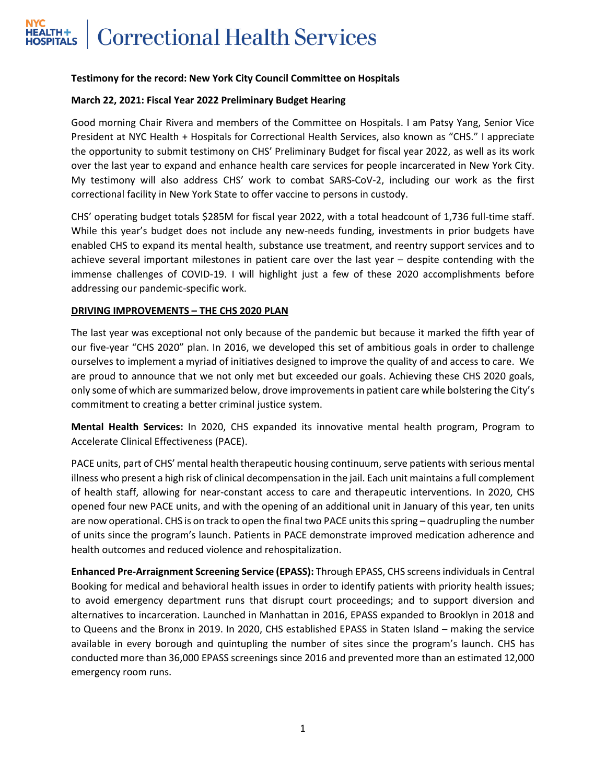# **Correctional Health Services** HEALTH+<br>HOSPITALS

## **Testimony for the record: New York City Council Committee on Hospitals**

## **March 22, 2021: Fiscal Year 2022 Preliminary Budget Hearing**

Good morning Chair Rivera and members of the Committee on Hospitals. I am Patsy Yang, Senior Vice President at NYC Health + Hospitals for Correctional Health Services, also known as "CHS." I appreciate the opportunity to submit testimony on CHS' Preliminary Budget for fiscal year 2022, as well as its work over the last year to expand and enhance health care services for people incarcerated in New York City. My testimony will also address CHS' work to combat SARS-CoV-2, including our work as the first correctional facility in New York State to offer vaccine to persons in custody.

CHS' operating budget totals \$285M for fiscal year 2022, with a total headcount of 1,736 full-time staff. While this year's budget does not include any new-needs funding, investments in prior budgets have enabled CHS to expand its mental health, substance use treatment, and reentry support services and to achieve several important milestones in patient care over the last year – despite contending with the immense challenges of COVID-19. I will highlight just a few of these 2020 accomplishments before addressing our pandemic-specific work.

## **DRIVING IMPROVEMENTS – THE CHS 2020 PLAN**

The last year was exceptional not only because of the pandemic but because it marked the fifth year of our five-year "CHS 2020" plan. In 2016, we developed this set of ambitious goals in order to challenge ourselves to implement a myriad of initiatives designed to improve the quality of and access to care. We are proud to announce that we not only met but exceeded our goals. Achieving these CHS 2020 goals, only some of which are summarized below, drove improvements in patient care while bolstering the City's commitment to creating a better criminal justice system.

**Mental Health Services:** In 2020, CHS expanded its innovative mental health program, Program to Accelerate Clinical Effectiveness (PACE).

PACE units, part of CHS' mental health therapeutic housing continuum, serve patients with serious mental illness who present a high risk of clinical decompensation in the jail. Each unit maintains a full complement of health staff, allowing for near-constant access to care and therapeutic interventions. In 2020, CHS opened four new PACE units, and with the opening of an additional unit in January of this year, ten units are now operational. CHS is on track to open the final two PACE units this spring – quadrupling the number of units since the program's launch. Patients in PACE demonstrate improved medication adherence and health outcomes and reduced violence and rehospitalization.

**Enhanced Pre-Arraignment Screening Service (EPASS):** Through EPASS, CHS screens individualsin Central Booking for medical and behavioral health issues in order to identify patients with priority health issues; to avoid emergency department runs that disrupt court proceedings; and to support diversion and alternatives to incarceration. Launched in Manhattan in 2016, EPASS expanded to Brooklyn in 2018 and to Queens and the Bronx in 2019. In 2020, CHS established EPASS in Staten Island – making the service available in every borough and quintupling the number of sites since the program's launch. CHS has conducted more than 36,000 EPASS screenings since 2016 and prevented more than an estimated 12,000 emergency room runs.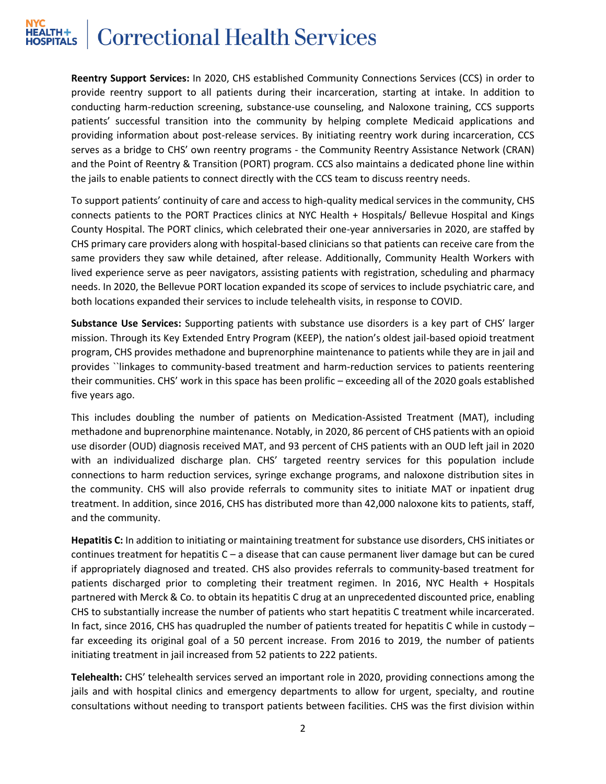## **Correctional Health Services**

**Reentry Support Services:** In 2020, CHS established Community Connections Services (CCS) in order to provide reentry support to all patients during their incarceration, starting at intake. In addition to conducting harm-reduction screening, substance-use counseling, and Naloxone training, CCS supports patients' successful transition into the community by helping complete Medicaid applications and providing information about post-release services. By initiating reentry work during incarceration, CCS serves as a bridge to CHS' own reentry programs - the Community Reentry Assistance Network (CRAN) and the Point of Reentry & Transition (PORT) program. CCS also maintains a dedicated phone line within the jails to enable patients to connect directly with the CCS team to discuss reentry needs.

To support patients' continuity of care and access to high-quality medical services in the community, CHS connects patients to the PORT Practices clinics at NYC Health + Hospitals/ Bellevue Hospital and Kings County Hospital. The PORT clinics, which celebrated their one-year anniversaries in 2020, are staffed by CHS primary care providers along with hospital-based clinicians so that patients can receive care from the same providers they saw while detained, after release. Additionally, Community Health Workers with lived experience serve as peer navigators, assisting patients with registration, scheduling and pharmacy needs. In 2020, the Bellevue PORT location expanded its scope of services to include psychiatric care, and both locations expanded their services to include telehealth visits, in response to COVID.

**Substance Use Services:** Supporting patients with substance use disorders is a key part of CHS' larger mission. Through its Key Extended Entry Program (KEEP), the nation's oldest jail-based opioid treatment program, CHS provides methadone and buprenorphine maintenance to patients while they are in jail and provides ``linkages to community-based treatment and harm-reduction services to patients reentering their communities. CHS' work in this space has been prolific – exceeding all of the 2020 goals established five years ago.

This includes doubling the number of patients on Medication-Assisted Treatment (MAT), including methadone and buprenorphine maintenance. Notably, in 2020, 86 percent of CHS patients with an opioid use disorder (OUD) diagnosis received MAT, and 93 percent of CHS patients with an OUD left jail in 2020 with an individualized discharge plan. CHS' targeted reentry services for this population include connections to harm reduction services, syringe exchange programs, and naloxone distribution sites in the community. CHS will also provide referrals to community sites to initiate MAT or inpatient drug treatment. In addition, since 2016, CHS has distributed more than 42,000 naloxone kits to patients, staff, and the community.

**Hepatitis C:** In addition to initiating or maintaining treatment for substance use disorders, CHS initiates or continues treatment for hepatitis C – a disease that can cause permanent liver damage but can be cured if appropriately diagnosed and treated. CHS also provides referrals to community-based treatment for patients discharged prior to completing their treatment regimen. In 2016, NYC Health + Hospitals partnered with Merck & Co. to obtain its hepatitis C drug at an unprecedented discounted price, enabling CHS to substantially increase the number of patients who start hepatitis C treatment while incarcerated. In fact, since 2016, CHS has quadrupled the number of patients treated for hepatitis C while in custody – far exceeding its original goal of a 50 percent increase. From 2016 to 2019, the number of patients initiating treatment in jail increased from 52 patients to 222 patients.

**Telehealth:** CHS' telehealth services served an important role in 2020, providing connections among the jails and with hospital clinics and emergency departments to allow for urgent, specialty, and routine consultations without needing to transport patients between facilities. CHS was the first division within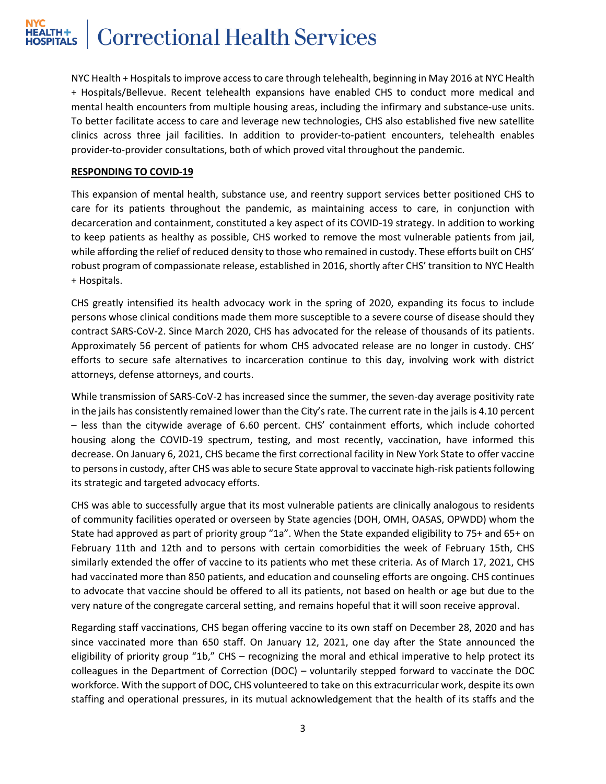# **Correctional Health Services**

NYC Health + Hospitals to improve access to care through telehealth, beginning in May 2016 at NYC Health + Hospitals/Bellevue. Recent telehealth expansions have enabled CHS to conduct more medical and mental health encounters from multiple housing areas, including the infirmary and substance-use units. To better facilitate access to care and leverage new technologies, CHS also established five new satellite clinics across three jail facilities. In addition to provider-to-patient encounters, telehealth enables provider-to-provider consultations, both of which proved vital throughout the pandemic.

## **RESPONDING TO COVID-19**

This expansion of mental health, substance use, and reentry support services better positioned CHS to care for its patients throughout the pandemic, as maintaining access to care, in conjunction with decarceration and containment, constituted a key aspect of its COVID-19 strategy. In addition to working to keep patients as healthy as possible, CHS worked to remove the most vulnerable patients from jail, while affording the relief of reduced density to those who remained in custody. These efforts built on CHS' robust program of compassionate release, established in 2016, shortly after CHS' transition to NYC Health + Hospitals.

CHS greatly intensified its health advocacy work in the spring of 2020, expanding its focus to include persons whose clinical conditions made them more susceptible to a severe course of disease should they contract SARS-CoV-2. Since March 2020, CHS has advocated for the release of thousands of its patients. Approximately 56 percent of patients for whom CHS advocated release are no longer in custody. CHS' efforts to secure safe alternatives to incarceration continue to this day, involving work with district attorneys, defense attorneys, and courts.

While transmission of SARS-CoV-2 has increased since the summer, the seven-day average positivity rate in the jails has consistently remained lower than the City's rate. The current rate in the jails is 4.10 percent – less than the citywide average of 6.60 percent. CHS' containment efforts, which include cohorted housing along the COVID-19 spectrum, testing, and most recently, vaccination, have informed this decrease. On January 6, 2021, CHS became the first correctional facility in New York State to offer vaccine to persons in custody, after CHS was able to secure State approval to vaccinate high-risk patients following its strategic and targeted advocacy efforts.

CHS was able to successfully argue that its most vulnerable patients are clinically analogous to residents of community facilities operated or overseen by State agencies (DOH, OMH, OASAS, OPWDD) whom the State had approved as part of priority group "1a". When the State expanded eligibility to 75+ and 65+ on February 11th and 12th and to persons with certain comorbidities the week of February 15th, CHS similarly extended the offer of vaccine to its patients who met these criteria. As of March 17, 2021, CHS had vaccinated more than 850 patients, and education and counseling efforts are ongoing. CHS continues to advocate that vaccine should be offered to all its patients, not based on health or age but due to the very nature of the congregate carceral setting, and remains hopeful that it will soon receive approval.

Regarding staff vaccinations, CHS began offering vaccine to its own staff on December 28, 2020 and has since vaccinated more than 650 staff. On January 12, 2021, one day after the State announced the eligibility of priority group "1b," CHS – recognizing the moral and ethical imperative to help protect its colleagues in the Department of Correction (DOC) – voluntarily stepped forward to vaccinate the DOC workforce. With the support of DOC, CHS volunteered to take on this extracurricular work, despite its own staffing and operational pressures, in its mutual acknowledgement that the health of its staffs and the